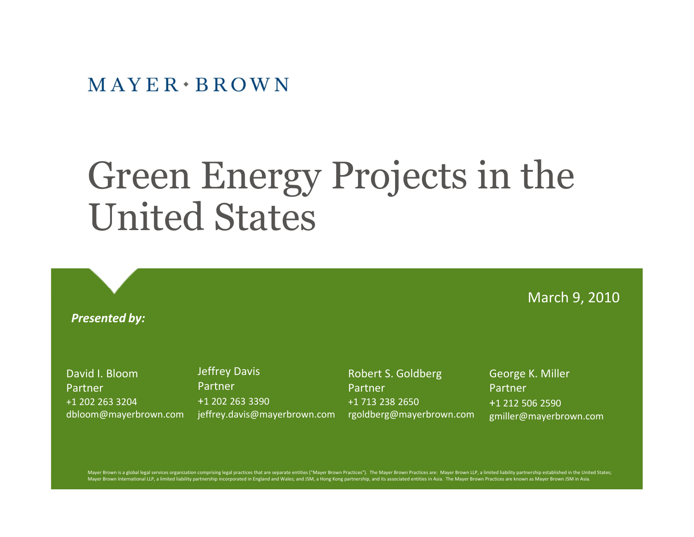#### $MAYER \cdot BROWN$

## Green Energy Projects in the United States

*Presented by:*

David I. Bloom

+1 202 263 3204

dbloom@mayerbrown.com

Partner

Jeffrey Davis Partner +1 202 263 3390 jeffrey.davis@mayerbrown.com

Robert S. Goldberg Partner +1 713 238 2650 rgoldberg@mayerbrown.com George K. Miller Partner +1 212 506 2590 gmiller@mayerbrown.com

March 9, 2010

Mayer Brown is a global legal services organization comprising legal practices that are separate entities ("Mayer Brown Practices"). The Mayer Brown Practices are: Mayer Brown LLP, a limited liability partnership establish Mayer Brown International LLP, a limited liability partnership incorporated in England and Wales; and JSM, a Hong Kong partnership, and its associated entities in Asia. The Mayer Brown Practices are known as Mayer Brown JS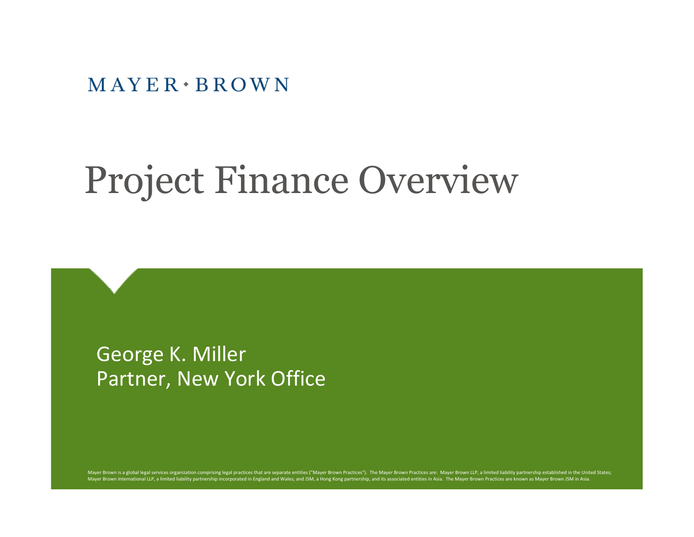$MAYER \cdot BROWN$ 

# Project Finance Overview

George K. Miller Partner, New York Office

Mayer Brown is a global legal services organization comprising legal practices that are separate entities ("Mayer Brown Practices"). The Mayer Brown Practices are: Mayer Brown LLP, a limited liability partnership establish Mayer Brown International LLP, a limited liability partnership incorporated in England and Wales; and JSM, a Hong Kong partnership, and its associated entities in Asia. The Mayer Brown Practices are known as Mayer Brown JS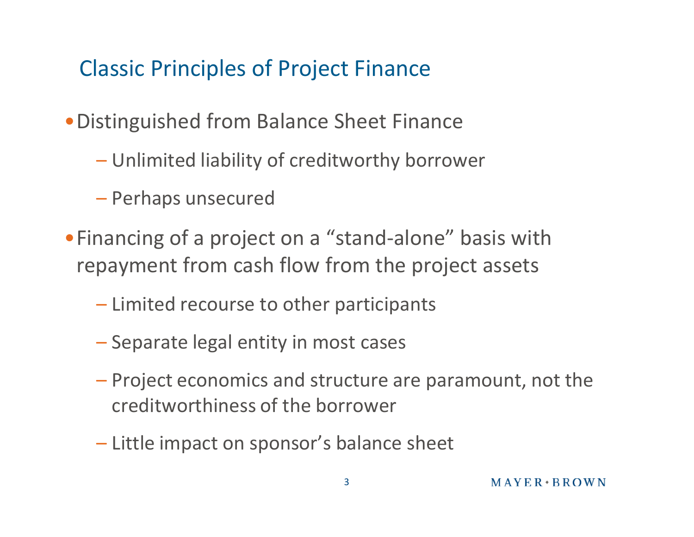### Classic Principles of Project Finance

- •Distinguished from Balance Sheet Finance
	- Unlimited liability of creditworthy borrower
	- Perhaps unsecured
- •Financing of a project on a "stand-alone" basis with repayment from cash flow from the project assets
	- Limited recourse to other participants
	- Separate legal entity in most cases
	- Project economics and structure are paramount, not the creditworthiness of the borrower
	- Little impact on sponsor's balance sheet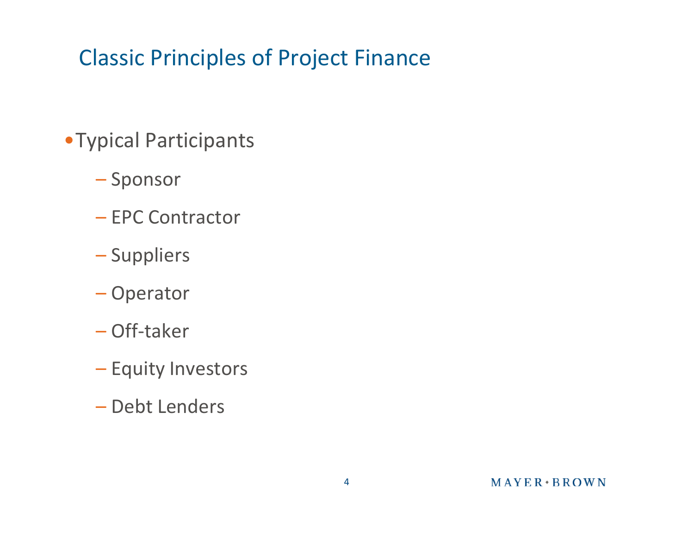## Classic Principles of Project Finance

- •Typical Participants
	- Sponsor
	- EPC Contractor
	- Suppliers
	- Operator
	- Off-taker
	- Equity Investors
	- Debt Lenders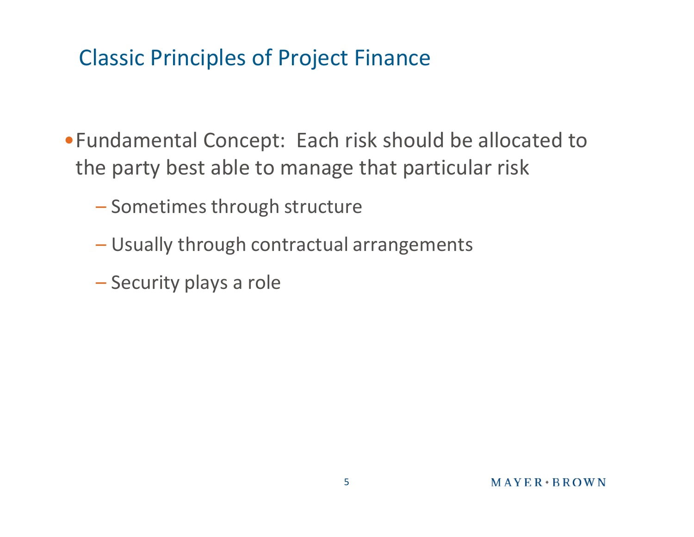#### Classic Principles of Project Finance

- •Fundamental Concept: Each risk should be allocated to the party best able to manage that particular risk
	- Sometimes through structure
	- Usually through contractual arrangements
	- Security plays a role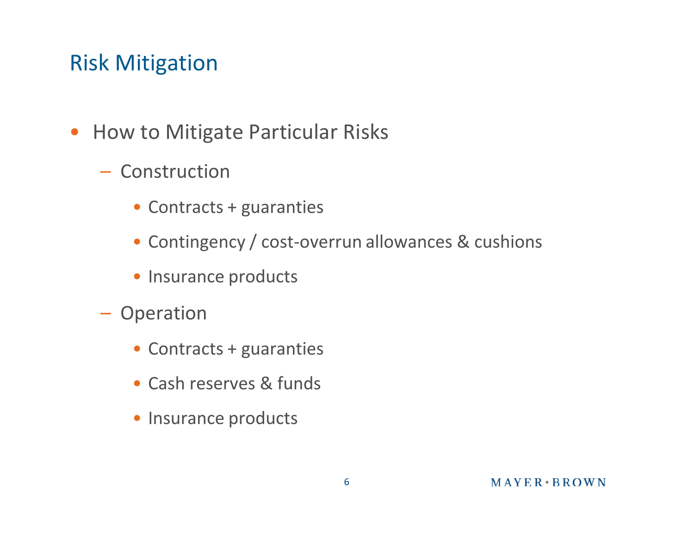#### Risk Mitigation

- How to Mitigate Particular Risks
	- Construction
		- Contracts + guaranties
		- Contingency / cost-overrun allowances & cushions
		- Insurance products
	- Operation
		- Contracts + guaranties
		- Cash reserves & funds
		- Insurance products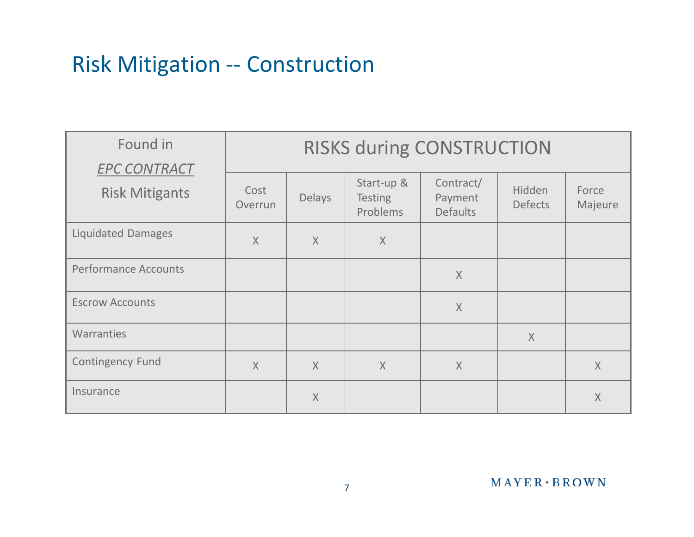#### Risk Mitigation -- Construction

| Found in<br><b>EPC CONTRACT</b> | <b>RISKS during CONSTRUCTION</b> |         |                                          |                                         |                          |                  |
|---------------------------------|----------------------------------|---------|------------------------------------------|-----------------------------------------|--------------------------|------------------|
| <b>Risk Mitigants</b>           | Cost<br>Overrun                  | Delays  | Start-up &<br><b>Testing</b><br>Problems | Contract/<br>Payment<br><b>Defaults</b> | Hidden<br><b>Defects</b> | Force<br>Majeure |
| <b>Liquidated Damages</b>       | $\overline{X}$                   | $\chi$  | $\chi$                                   |                                         |                          |                  |
| <b>Performance Accounts</b>     |                                  |         |                                          | $\chi$                                  |                          |                  |
| <b>Escrow Accounts</b>          |                                  |         |                                          | X                                       |                          |                  |
| Warranties                      |                                  |         |                                          |                                         | $\chi$                   |                  |
| <b>Contingency Fund</b>         | $\overline{X}$                   | $\chi$  | $\chi$                                   | $\times$                                |                          | $\sf X$          |
| Insurance                       |                                  | $\sf X$ |                                          |                                         |                          | $\chi$           |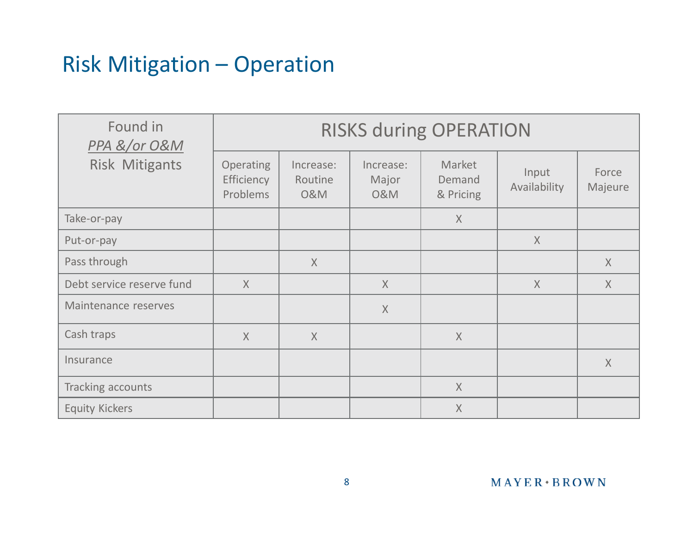#### Risk Mitigation – Operation

| Found in<br>PPA &/or O&M  | <b>RISKS during OPERATION</b>       |                                        |                                      |                               |                       |                  |  |
|---------------------------|-------------------------------------|----------------------------------------|--------------------------------------|-------------------------------|-----------------------|------------------|--|
| <b>Risk Mitigants</b>     | Operating<br>Efficiency<br>Problems | Increase:<br>Routine<br><b>O&amp;M</b> | Increase:<br>Major<br><b>O&amp;M</b> | Market<br>Demand<br>& Pricing | Input<br>Availability | Force<br>Majeure |  |
| Take-or-pay               |                                     |                                        |                                      | $\chi$                        |                       |                  |  |
| Put-or-pay                |                                     |                                        |                                      |                               | X                     |                  |  |
| Pass through              |                                     | X                                      |                                      |                               |                       | $\chi$           |  |
| Debt service reserve fund | $\overline{X}$                      |                                        | $\overline{X}$                       |                               | $\chi$                | $\chi$           |  |
| Maintenance reserves      |                                     |                                        | $\mathsf{X}$                         |                               |                       |                  |  |
| Cash traps                | X                                   | $\chi$                                 |                                      | X                             |                       |                  |  |
| Insurance                 |                                     |                                        |                                      |                               |                       | $\chi$           |  |
| Tracking accounts         |                                     |                                        |                                      | $\chi$                        |                       |                  |  |
| <b>Equity Kickers</b>     |                                     |                                        |                                      | $\sf X$                       |                       |                  |  |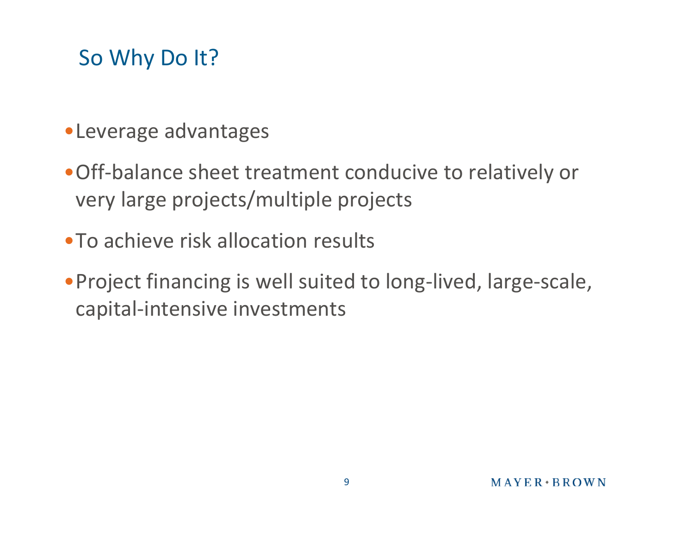## So Why Do It?

- •Leverage advantages
- •Off-balance sheet treatment conducive to relatively or very large projects/multiple projects
- •To achieve risk allocation results
- •Project financing is well suited to long-lived, large-scale, capital-intensive investments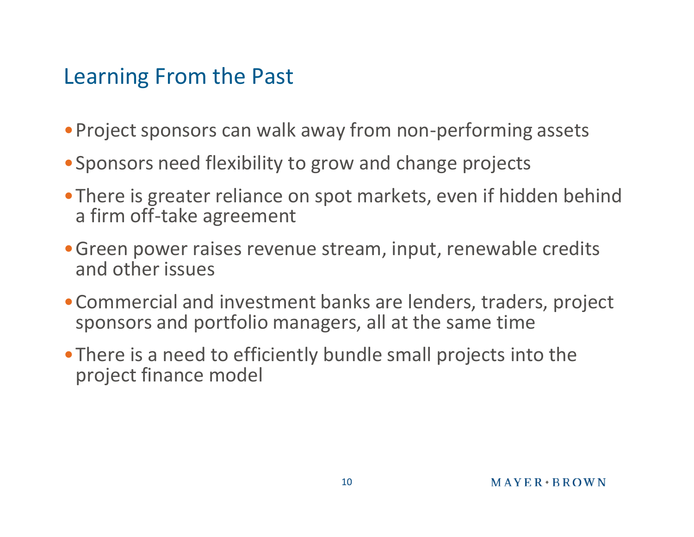#### Learning From the Past

- •Project sponsors can walk away from non-performing assets
- •Sponsors need flexibility to grow and change projects
- •There is greater reliance on spot markets, even if hidden behind a firm off-take agreement
- •Green power raises revenue stream, input, renewable credits and other issues
- •Commercial and investment banks are lenders, traders, project sponsors and portfolio managers, all at the same time
- •There is a need to efficiently bundle small projects into the project finance model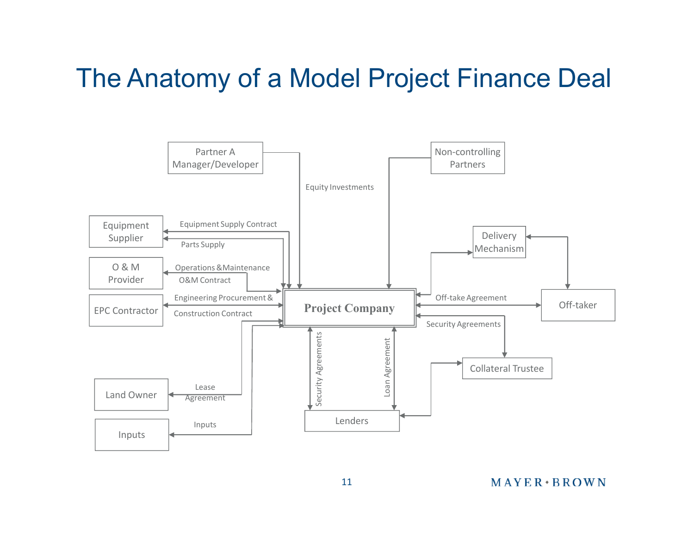## The Anatomy of a Model Project Finance Deal

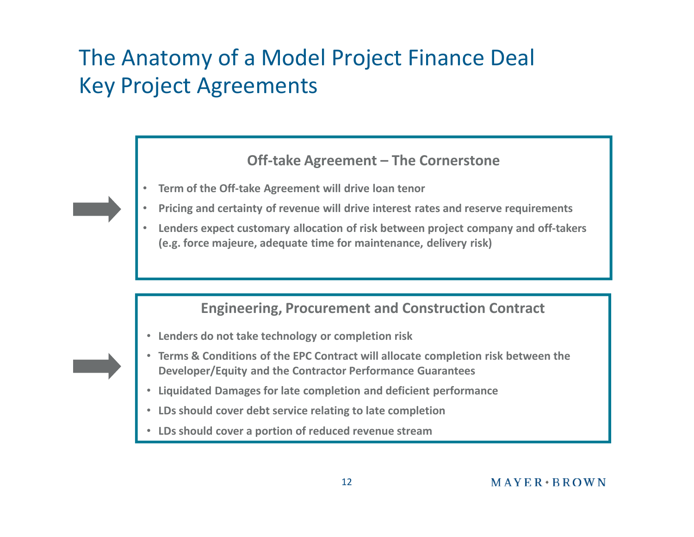## The Anatomy of a Model Project Finance Deal Key Project Agreements

#### **Off-take Agreement – The Cornerstone**

- **Term of the Off-take Agreement will drive loan tenor**
- **Pricing and certainty of revenue will drive interest rates and reserve requirements**
- **Lenders expect customary allocation of risk between project company and off-takers (e.g. force majeure, adequate time for maintenance, delivery risk)**

#### **Engineering, Procurement and Construction Contract**

- **Lenders do not take technology or completion risk**
- **Terms & Conditions of the EPC Contract will allocate completion risk between the Developer/Equity and the Contractor Performance Guarantees**
- **Liquidated Damages for late completion and deficient performance**
- **LDs should cover debt service relating to late completion**
- **LDs should cover a portion of reduced revenue stream**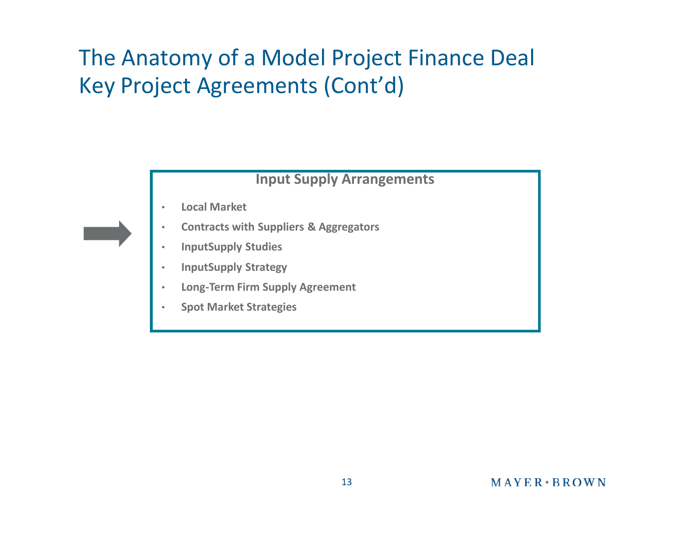## The Anatomy of a Model Project Finance Deal Key Project Agreements (Cont'd)

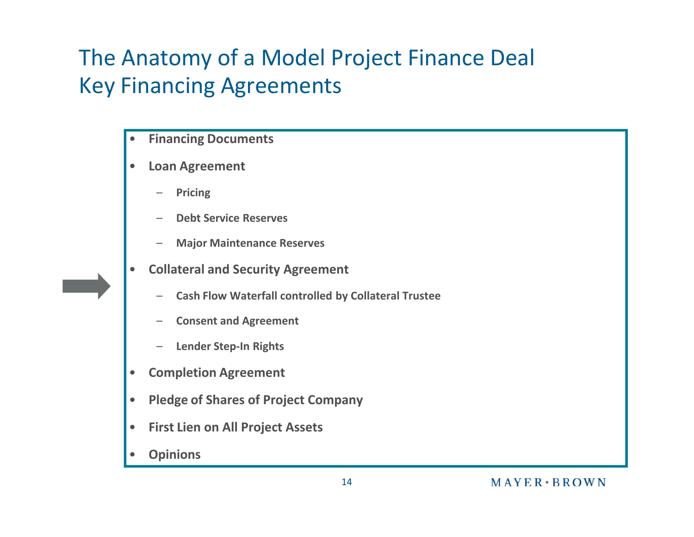## The Anatomy of a Model Project Finance Deal Key Financing Agreements

- **Financing Documents**
- **Loan Agreement**
	- **Pricing**
	- **Debt Service Reserves**
	- **Major Maintenance Reserves**
- **Collateral and Security Agreement**
	- **Cash Flow Waterfall controlled by Collateral Trustee**
	- **Consent and Agreement**
	- **Lender Step-In Rights**
- **Completion Agreement**
- **Pledge of Shares of Project Company**
- **First Lien on All Project Assets**
- **Opinions**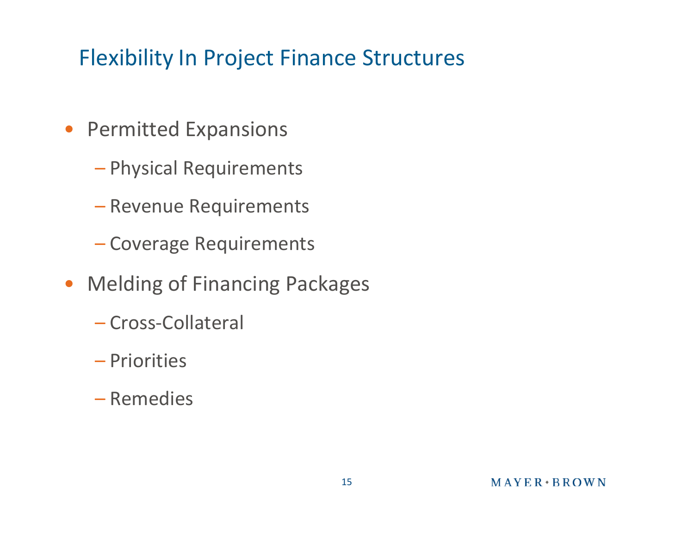## Flexibility In Project Finance Structures

- Permitted Expansions
	- Physical Requirements
	- Revenue Requirements
	- Coverage Requirements
- Melding of Financing Packages
	- Cross-Collateral
	- Priorities
	- Remedies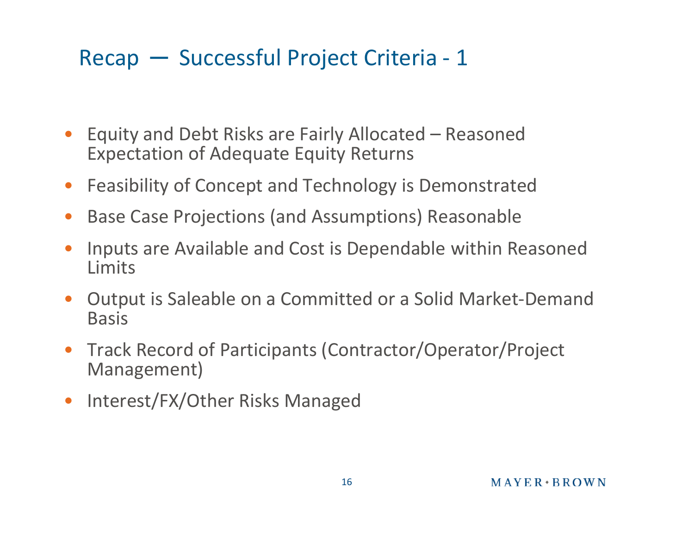### Recap ─ Successful Project Criteria - 1

- Equity and Debt Risks are Fairly Allocated Reasoned Expectation of Adequate Equity Returns
- Feasibility of Concept and Technology is Demonstrated
- Base Case Projections (and Assumptions) Reasonable
- Inputs are Available and Cost is Dependable within Reasoned Limits
- Output is Saleable on a Committed or a Solid Market-Demand Basis
- Track Record of Participants (Contractor/Operator/Project Management)
- Interest/FX/Other Risks Managed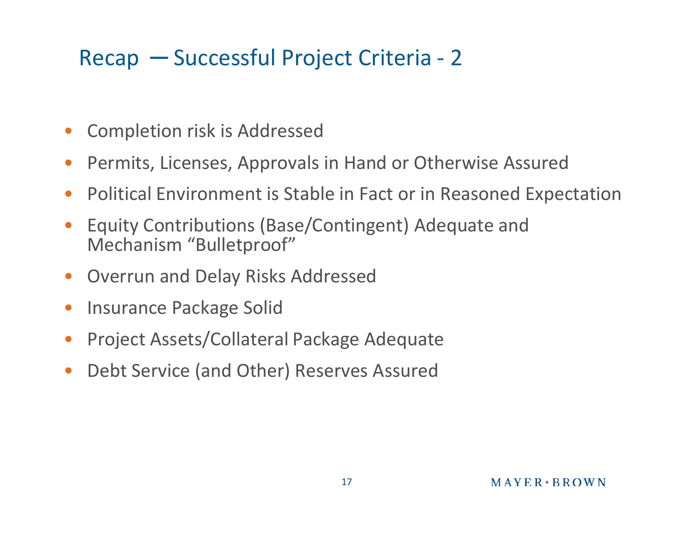## Recap ─ Successful Project Criteria - 2

- Completion risk is Addressed
- Permits, Licenses, Approvals in Hand or Otherwise Assured
- Political Environment is Stable in Fact or in Reasoned Expectation
- Equity Contributions (Base/Contingent) Adequate and Mechanism "Bulletproof"
- Overrun and Delay Risks Addressed
- Insurance Package Solid
- Project Assets/Collateral Package Adequate
- Debt Service (and Other) Reserves Assured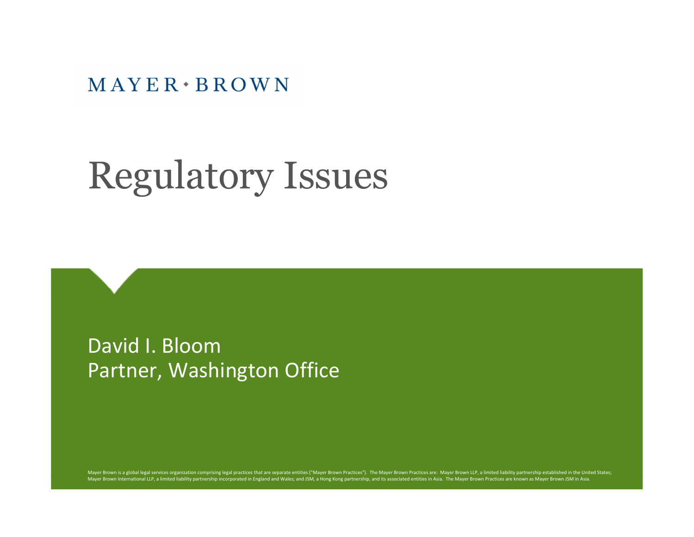$MAYER \cdot BROWN$ 

# Regulatory Issues

David I. Bloom Partner, Washington Office

Mayer Brown is a global legal services organization comprising legal practices that are separate entities ("Mayer Brown Practices"). The Mayer Brown Practices are: Mayer Brown LLP, a limited liability partnershipe establis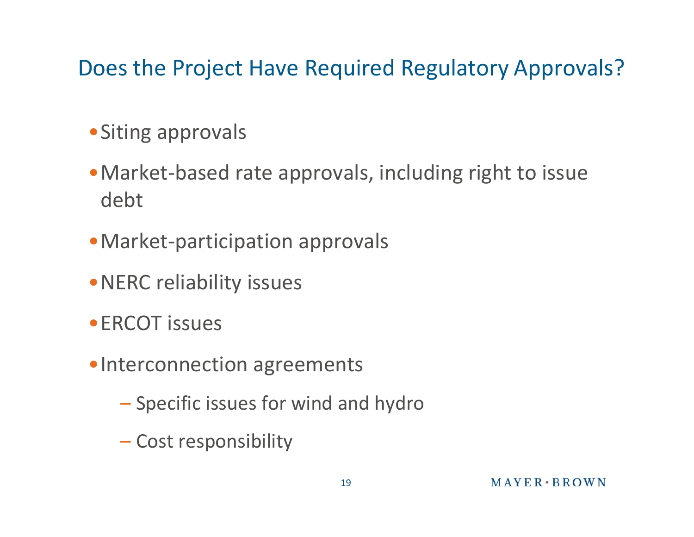#### Does the Project Have Required Regulatory Approvals?

- •Siting approvals
- •Market-based rate approvals, including right to issue debt
- •Market-participation approvals
- •NERC reliability issues
- •ERCOT issues
- •Interconnection agreements
	- Specific issues for wind and hydro
	- Cost responsibility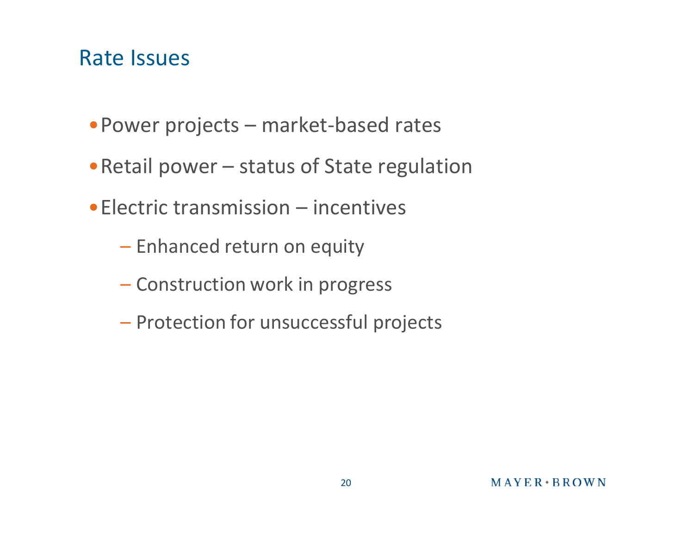#### Rate Issues

- •Power projects market-based rates
- •Retail power status of State regulation
- •Electric transmission incentives
	- Enhanced return on equity
	- Construction work in progress
	- Protection for unsuccessful projects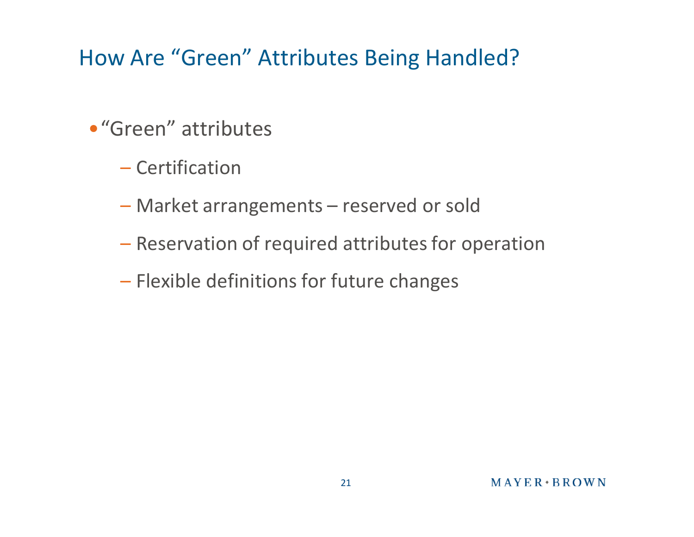## How Are "Green" Attributes Being Handled?

- •"Green" attributes
	- Certification
	- Market arrangements reserved or sold
	- Reservation of required attributes for operation
	- Flexible definitions for future changes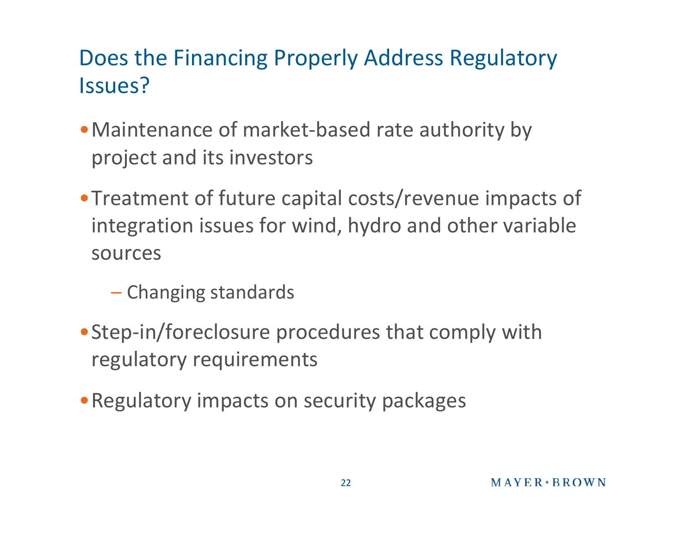## Does the Financing Properly Address Regulatory Issues?

- •Maintenance of market-based rate authority by project and its investors
- •Treatment of future capital costs/revenue impacts of integration issues for wind, hydro and other variable sources
	- Changing standards
- •Step-in/foreclosure procedures that comply with regulatory requirements
- •Regulatory impacts on security packages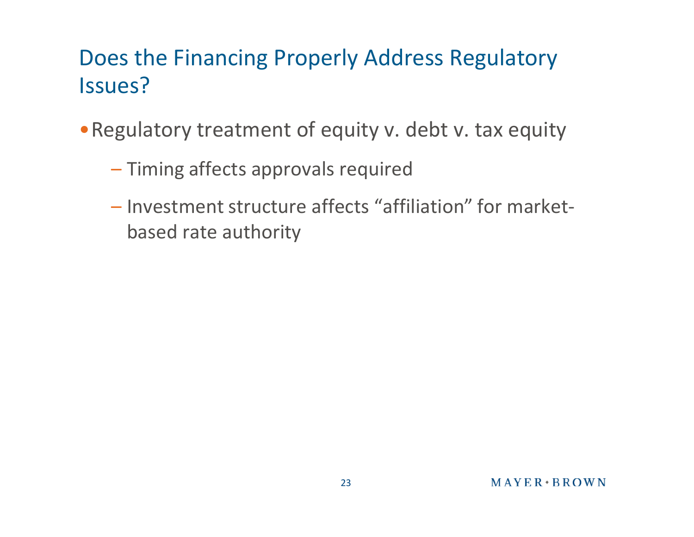## Does the Financing Properly Address Regulatory Issues?

- •Regulatory treatment of equity v. debt v. tax equity
	- Timing affects approvals required
	- Investment structure affects "affiliation" for marketbased rate authority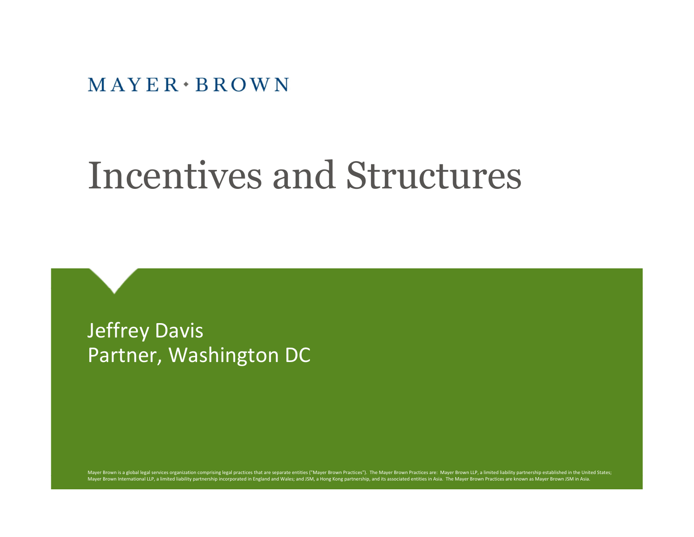$MAYER \cdot BROWN$ 

## Incentives and Structures

Jeffrey Davis Partner, Washington DC

Mayer Brown is a global legal services organization comprising legal practices that are separate entities ("Mayer Brown Practices"). The Mayer Brown Practices are: Mayer Brown LLP, a limited liability partnership establish Mayer Brown International LLP, a limited liability partnership incorporated in England and Wales; and JSM, a Hong Kong partnership, and its associated entities in Asia. The Mayer Brown Practices are known as Mayer Brown JS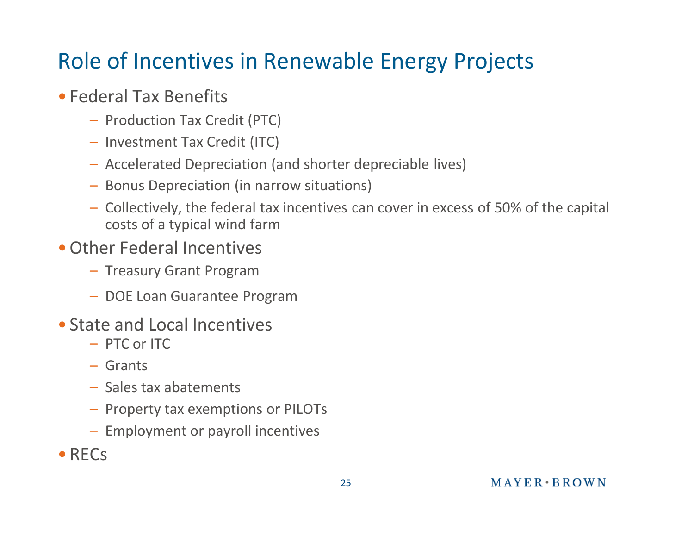## Role of Incentives in Renewable Energy Projects

#### • Federal Tax Benefits

- Production Tax Credit (PTC)
- Investment Tax Credit (ITC)
- Accelerated Depreciation (and shorter depreciable lives)
- Bonus Depreciation (in narrow situations)
- Collectively, the federal tax incentives can cover in excess of 50% of the capital costs of a typical wind farm
- •Other Federal Incentives
	- Treasury Grant Program
	- DOE Loan Guarantee Program
- State and Local Incentives
	- PTC or ITC
	- Grants
	- Sales tax abatements
	- Property tax exemptions or PILOTs
	- Employment or payroll incentives
- •RECs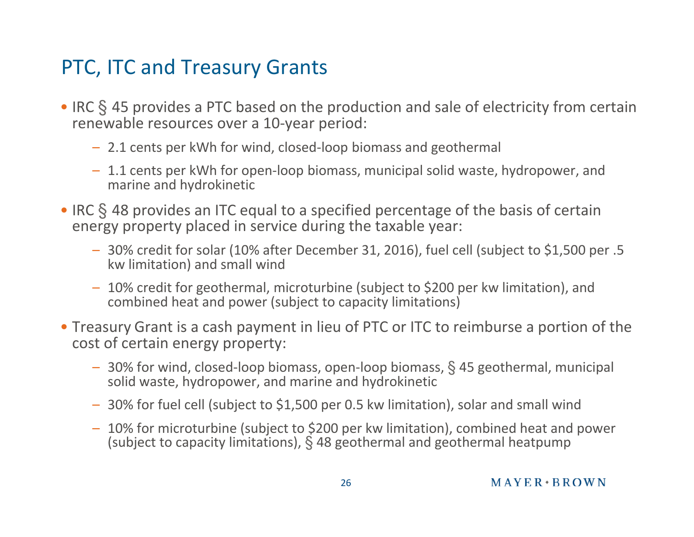#### PTC, ITC and Treasury Grants

- IRC § 45 provides a PTC based on the production and sale of electricity from certain renewable resources over a 10-year period:
	- 2.1 cents per kWh for wind, closed-loop biomass and geothermal
	- 1.1 cents per kWh for open-loop biomass, municipal solid waste, hydropower, and marine and hydrokinetic
- IRC § 48 provides an ITC equal to a specified percentage of the basis of certain energy property placed in service during the taxable year:
	- 30% credit for solar (10% after December 31, 2016), fuel cell (subject to \$1,500 per .5 kw limitation) and small wind
	- 10% credit for geothermal, microturbine (subject to \$200 per kw limitation), and combined heat and power (subject to capacity limitations)
- Treasury Grant is a cash payment in lieu of PTC or ITC to reimburse a portion of the cost of certain energy property:
	- 30% for wind, closed-loop biomass, open-loop biomass, § 45 geothermal, municipal solid waste, hydropower, and marine and hydrokinetic
	- 30% for fuel cell (subject to \$1,500 per 0.5 kw limitation), solar and small wind
	- 10% for microturbine (subject to \$200 per kw limitation), combined heat and power (subject to capacity limitations), § 48 geothermal and geothermal heatpump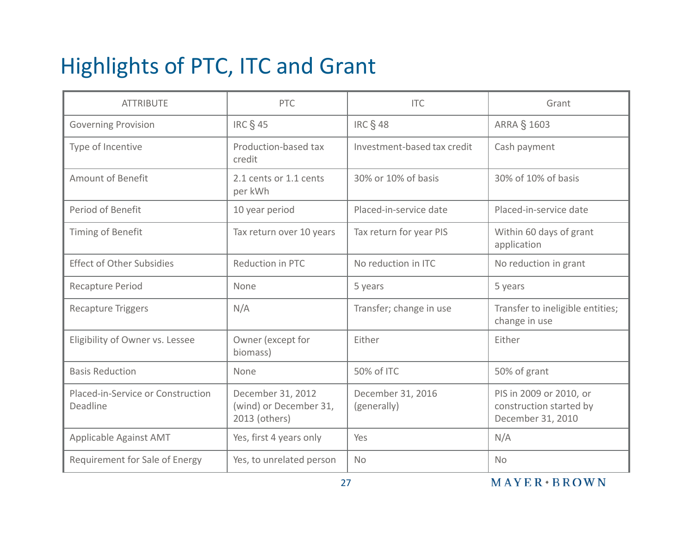## Highlights of PTC, ITC and Grant

| <b>ATTRIBUTE</b>                              | <b>PTC</b>                                                   | <b>ITC</b>                       | Grant                                                                   |  |
|-----------------------------------------------|--------------------------------------------------------------|----------------------------------|-------------------------------------------------------------------------|--|
| <b>Governing Provision</b>                    | <b>IRC § 45</b>                                              | <b>IRC § 48</b>                  | <b>ARRA § 1603</b>                                                      |  |
| Type of Incentive                             | Production-based tax<br>credit                               | Investment-based tax credit      | Cash payment                                                            |  |
| <b>Amount of Benefit</b>                      | 2.1 cents or 1.1 cents<br>per kWh                            | 30% or 10% of basis              | 30% of 10% of basis                                                     |  |
| Period of Benefit                             | 10 year period                                               | Placed-in-service date           | Placed-in-service date                                                  |  |
| Timing of Benefit                             | Tax return over 10 years                                     | Tax return for year PIS          | Within 60 days of grant<br>application                                  |  |
| <b>Effect of Other Subsidies</b>              | Reduction in PTC                                             | No reduction in ITC              | No reduction in grant                                                   |  |
| Recapture Period                              | None                                                         | 5 years                          | 5 years                                                                 |  |
| <b>Recapture Triggers</b>                     | N/A                                                          | Transfer; change in use          | Transfer to ineligible entities;<br>change in use                       |  |
| Eligibility of Owner vs. Lessee               | Owner (except for<br>biomass)                                | Either                           | Either                                                                  |  |
| <b>Basis Reduction</b>                        | None                                                         | 50% of ITC                       | 50% of grant                                                            |  |
| Placed-in-Service or Construction<br>Deadline | December 31, 2012<br>(wind) or December 31,<br>2013 (others) | December 31, 2016<br>(generally) | PIS in 2009 or 2010, or<br>construction started by<br>December 31, 2010 |  |
| Applicable Against AMT                        | Yes, first 4 years only                                      | Yes                              | N/A                                                                     |  |
| Requirement for Sale of Energy                | Yes, to unrelated person                                     | <b>No</b>                        | <b>No</b>                                                               |  |

MAYER + BROWN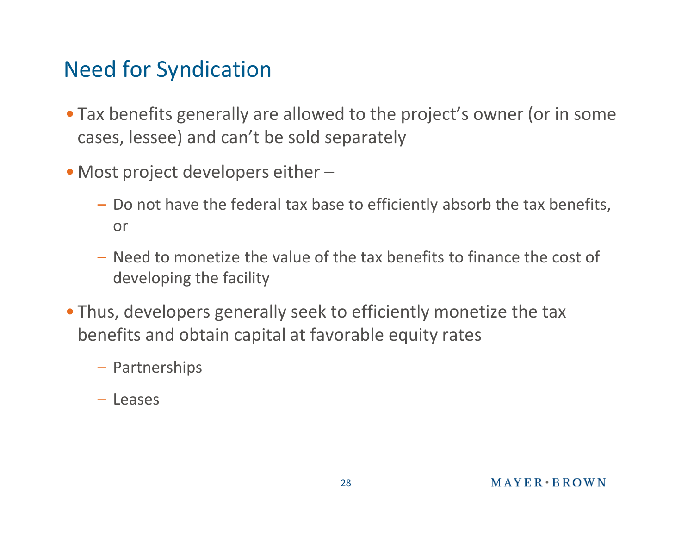#### Need for Syndication

- Tax benefits generally are allowed to the project's owner (or in some cases, lessee) and can't be sold separately
- Most project developers either
	- Do not have the federal tax base to efficiently absorb the tax benefits, or
	- Need to monetize the value of the tax benefits to finance the cost of developing the facility
- Thus, developers generally seek to efficiently monetize the tax benefits and obtain capital at favorable equity rates
	- Partnerships
	- Leases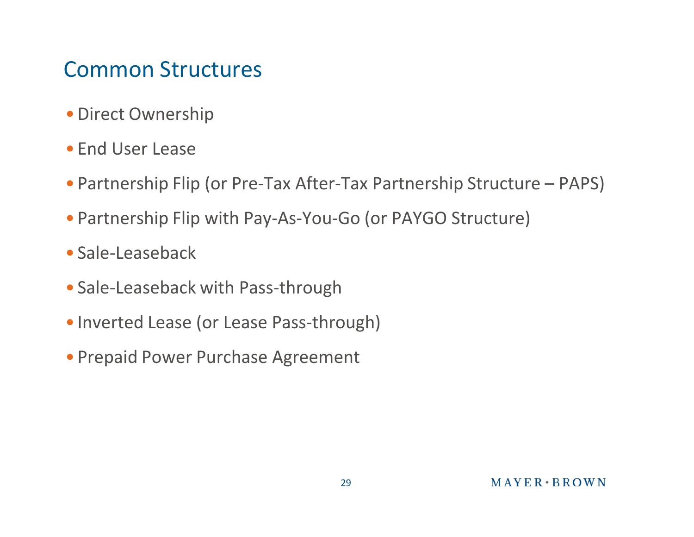#### Common Structures

- •Direct Ownership
- End User Lease
- Partnership Flip (or Pre-Tax After-Tax Partnership Structure PAPS)
- Partnership Flip with Pay-As-You-Go (or PAYGO Structure)
- Sale-Leaseback
- Sale-Leaseback with Pass-through
- Inverted Lease (or Lease Pass-through)
- Prepaid Power Purchase Agreement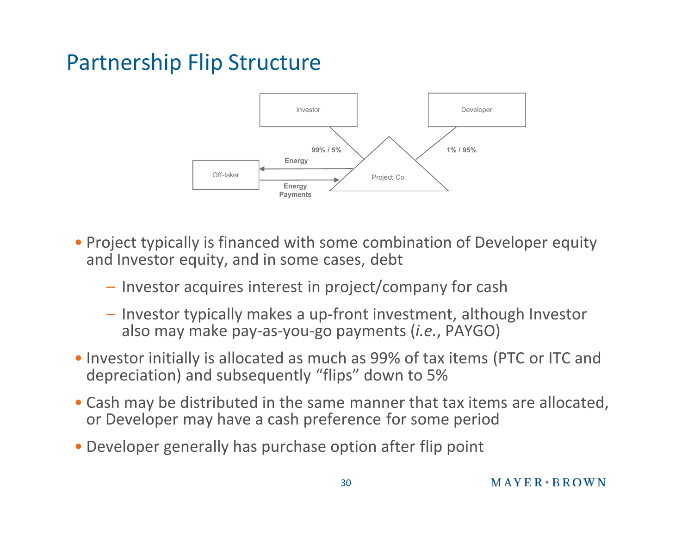#### Partnership Flip Structure



- Project typically is financed with some combination of Developer equity and Investor equity, and in some cases, debt
	- Investor acquires interest in project/company for cash
	- Investor typically makes a up-front investment, although Investor also may make pay-as-you-go payments (*i.e.*, PAYGO)
- Investor initially is allocated as much as 99% of tax items (PTC or ITC and depreciation) and subsequently "flips" down to 5%
- Cash may be distributed in the same manner that tax items are allocated, or Developer may have a cash preference for some period
- Developer generally has purchase option after flip point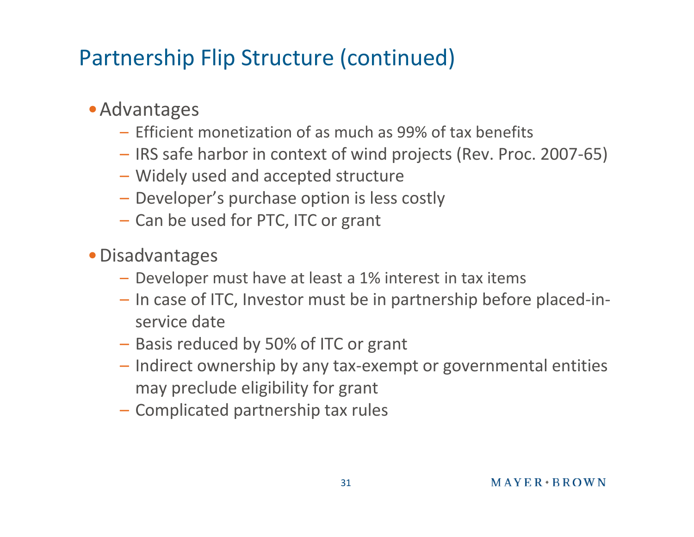## Partnership Flip Structure (continued)

#### •Advantages

- Efficient monetization of as much as 99% of tax benefits
- IRS safe harbor in context of wind projects (Rev. Proc. 2007-65)
- Widely used and accepted structure
- Developer's purchase option is less costly
- Can be used for PTC, ITC or grant
- •Disadvantages
	- Developer must have at least a 1% interest in tax items
	- In case of ITC, Investor must be in partnership before placed-inservice date
	- Basis reduced by 50% of ITC or grant
	- Indirect ownership by any tax-exempt or governmental entities may preclude eligibility for grant
	- Complicated partnership tax rules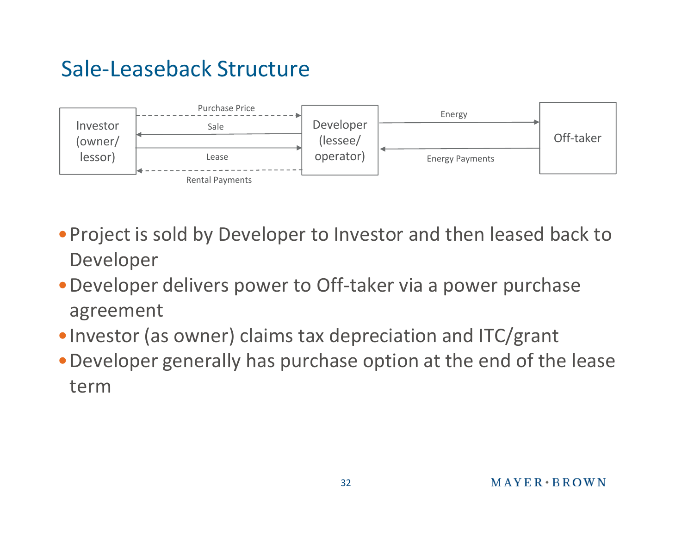#### Sale-Leaseback Structure



- •Project is sold by Developer to Investor and then leased back to Developer
- •Developer delivers power to Off-taker via a power purchase agreement
- •Investor (as owner) claims tax depreciation and ITC/grant
- •Developer generally has purchase option at the end of the lease term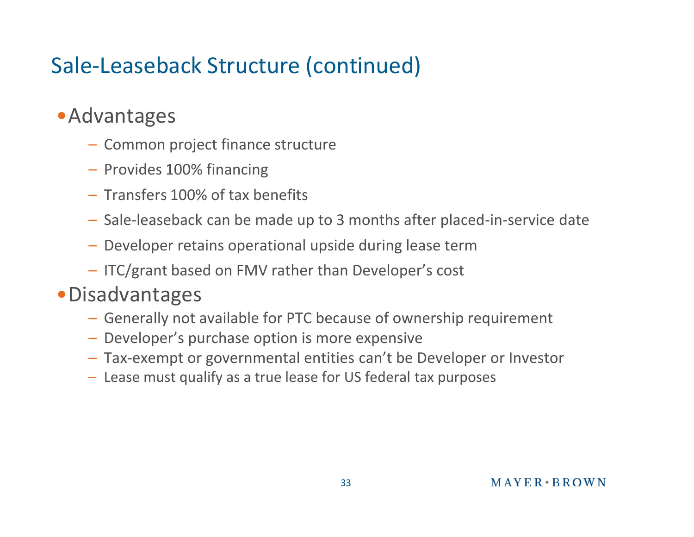## Sale-Leaseback Structure (continued)

#### •Advantages

- Common project finance structure
- Provides 100% financing
- Transfers 100% of tax benefits
- Sale-leaseback can be made up to 3 months after placed-in-service date
- Developer retains operational upside during lease term
- ITC/grant based on FMV rather than Developer's cost

#### •Disadvantages

- Generally not available for PTC because of ownership requirement
- Developer's purchase option is more expensive
- Tax-exempt or governmental entities can't be Developer or Investor
- Lease must qualify as a true lease for US federal tax purposes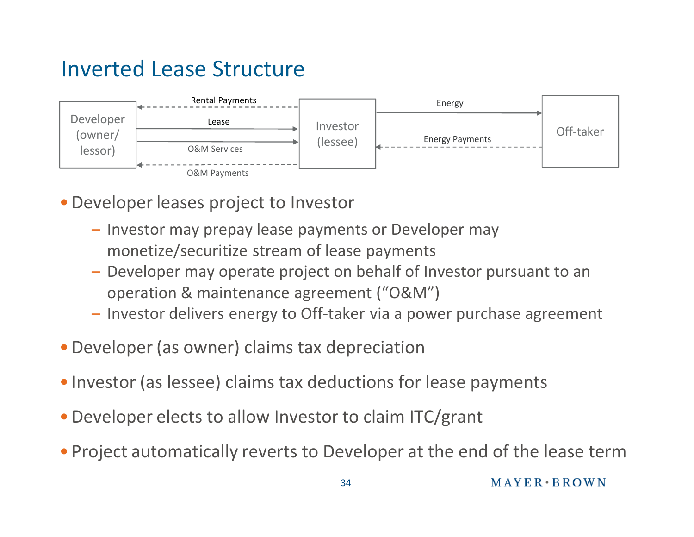#### Inverted Lease Structure



- •Developer leases project to Investor
	- Investor may prepay lease payments or Developer may monetize/securitize stream of lease payments
	- Developer may operate project on behalf of Investor pursuant to an operation & maintenance agreement ("O&M")
	- Investor delivers energy to Off-taker via a power purchase agreement
- •Developer (as owner) claims tax depreciation
- Investor (as lessee) claims tax deductions for lease payments
- •Developer elects to allow Investor to claim ITC/grant
- Project automatically reverts to Developer at the end of the lease term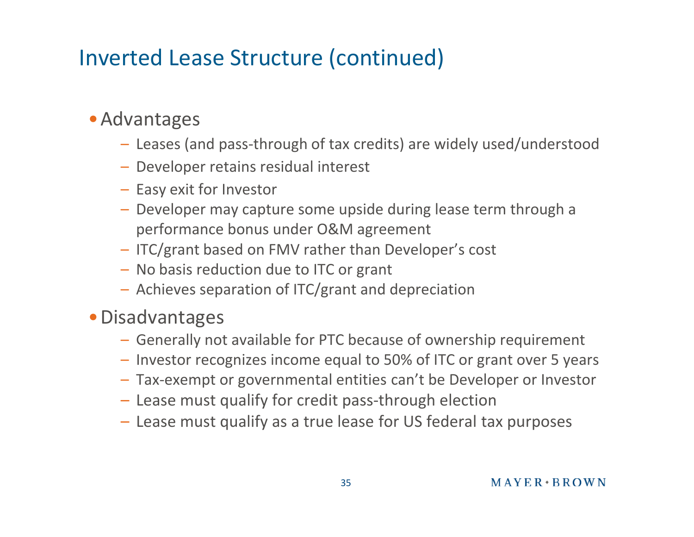#### Inverted Lease Structure (continued)

#### •Advantages

- Leases (and pass-through of tax credits) are widely used/understood
- Developer retains residual interest
- Easy exit for Investor
- Developer may capture some upside during lease term through a performance bonus under O&M agreement
- ITC/grant based on FMV rather than Developer's cost
- No basis reduction due to ITC or grant
- Achieves separation of ITC/grant and depreciation

#### •Disadvantages

- Generally not available for PTC because of ownership requirement
- Investor recognizes income equal to 50% of ITC or grant over 5 years
- Tax-exempt or governmental entities can't be Developer or Investor
- Lease must qualify for credit pass-through election
- Lease must qualify as a true lease for US federal tax purposes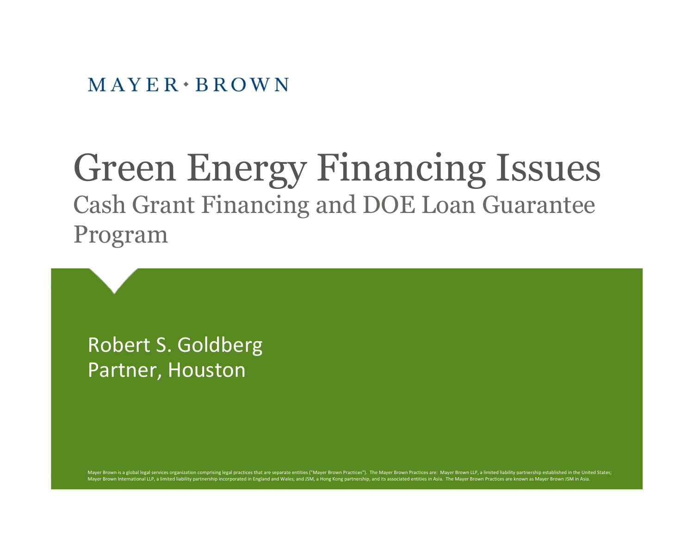$MAYER \cdot BROWN$ 

## Green Energy Financing Issues Cash Grant Financing and DOE Loan Guarantee Program

Robert S. Goldberg Partner, Houston

Mayer Brown is a global legal services organization comprising legal practices that are separate entities ("Mayer Brown Practices"). The Mayer Brown Practices are: Mayer Brown LLP, a limited liability partnership establish Mayer Brown International LLP, a limited liability partnership incorporated in England and Wales; and JSM, a Hong Kong partnership, and its associated entities in Asia. The Mayer Brown Practices are known as Mayer Brown JS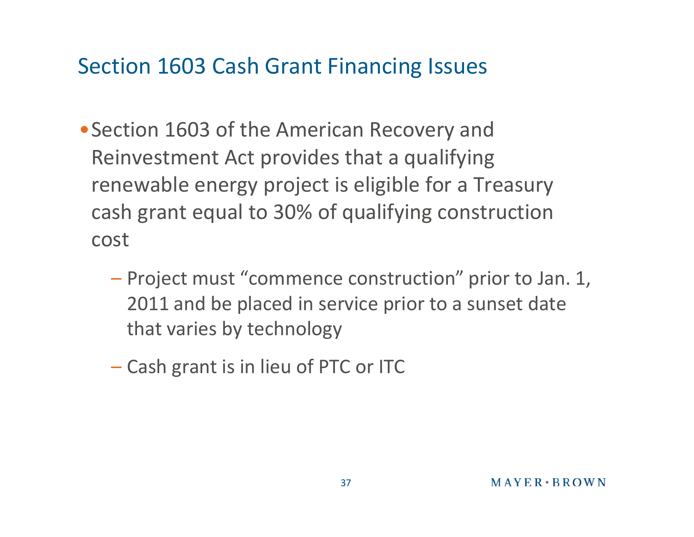- •Section 1603 of the American Recovery and Reinvestment Act provides that a qualifying renewable energy project is eligible for a Treasury cash grant equal to 30% of qualifying construction cost
	- Project must "commence construction" prior to Jan. 1, 2011 and be placed in service prior to a sunset date that varies by technology
	- Cash grant is in lieu of PTC or ITC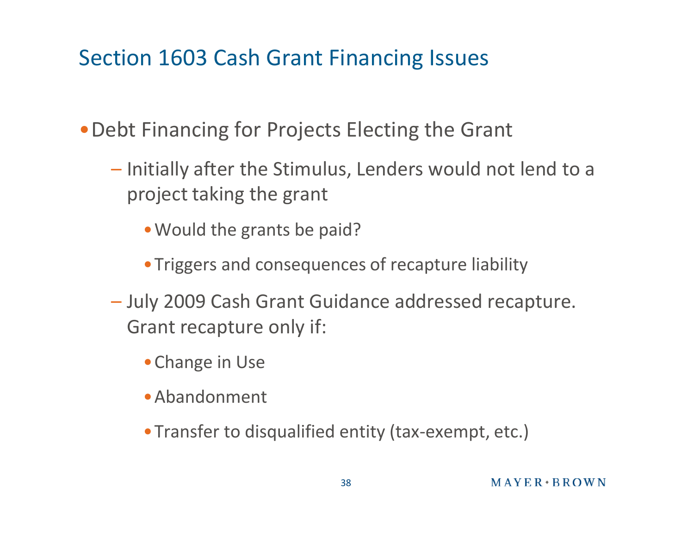- •Debt Financing for Projects Electing the Grant
	- Initially after the Stimulus, Lenders would not lend to a project taking the grant
		- Would the grants be paid?
		- •Triggers and consequences of recapture liability
	- July 2009 Cash Grant Guidance addressed recapture. Grant recapture only if:
		- •Change in Use
		- •Abandonment
		- •Transfer to disqualified entity (tax-exempt, etc.)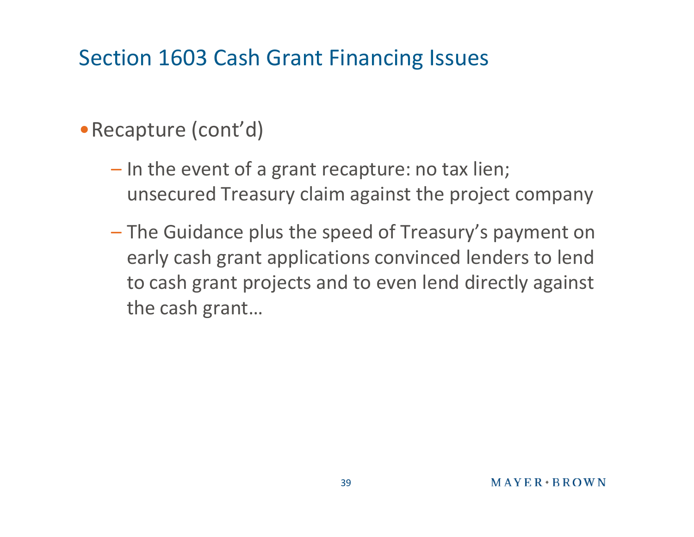#### •Recapture (cont'd)

- In the event of a grant recapture: no tax lien; unsecured Treasury claim against the project company
- The Guidance plus the speed of Treasury's payment on early cash grant applications convinced lenders to lend to cash grant projects and to even lend directly against the cash grant…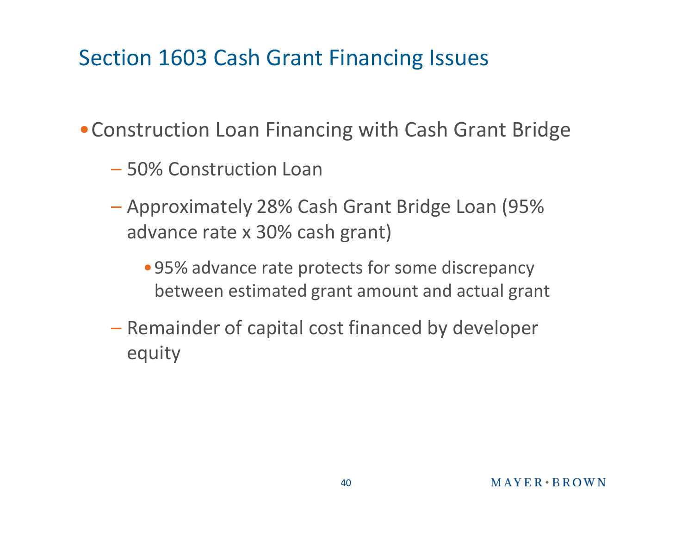•Construction Loan Financing with Cash Grant Bridge

- 50% Construction Loan
- Approximately 28% Cash Grant Bridge Loan (95% advance rate x 30% cash grant)
	- •95% advance rate protects for some discrepancy between estimated grant amount and actual grant
- Remainder of capital cost financed by developer equity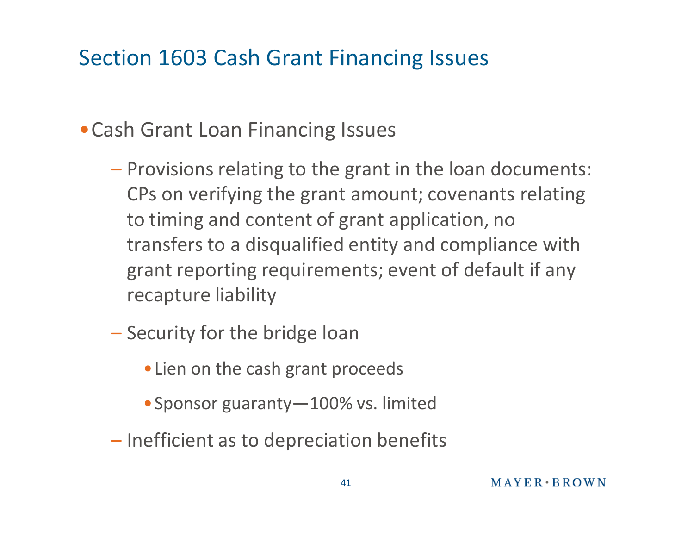#### •Cash Grant Loan Financing Issues

- Provisions relating to the grant in the loan documents: CPs on verifying the grant amount; covenants relating to timing and content of grant application, no transfers to a disqualified entity and compliance with grant reporting requirements; event of default if any recapture liability
- Security for the bridge loan
	- •Lien on the cash grant proceeds
	- Sponsor guaranty 100% vs. limited
- Inefficient as to depreciation benefits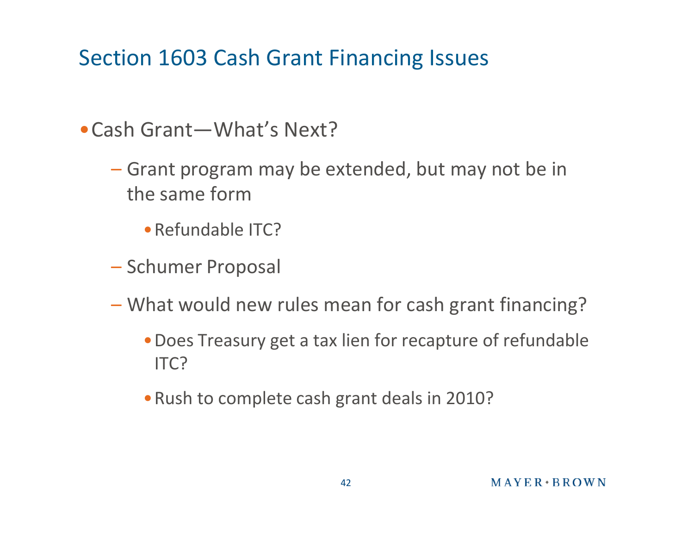- •Cash Grant—What's Next?
	- Grant program may be extended, but may not be in the same form
		- •Refundable ITC?
	- Schumer Proposal
	- What would new rules mean for cash grant financing?
		- •Does Treasury get a tax lien for recapture of refundable ITC?
		- •Rush to complete cash grant deals in 2010?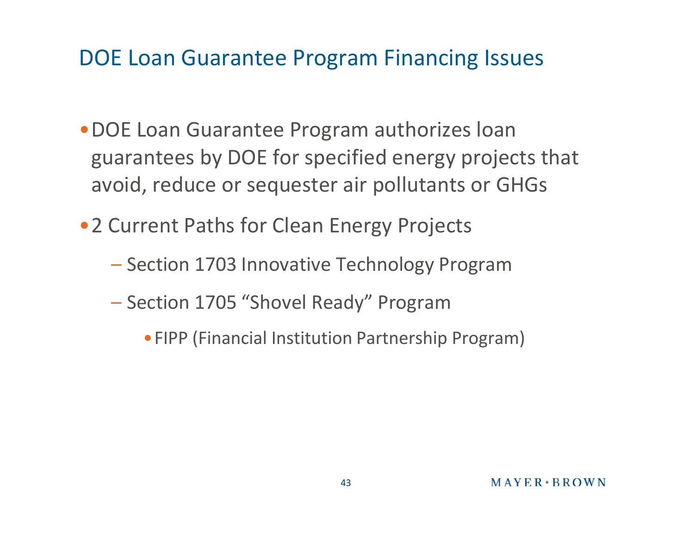- •DOE Loan Guarantee Program authorizes loan guarantees by DOE for specified energy projects that avoid, reduce or sequester air pollutants or GHGs
- 2 Current Paths for Clean Energy Projects
	- Section 1703 Innovative Technology Program
	- Section 1705 "Shovel Ready" Program
		- •FIPP (Financial Institution Partnership Program)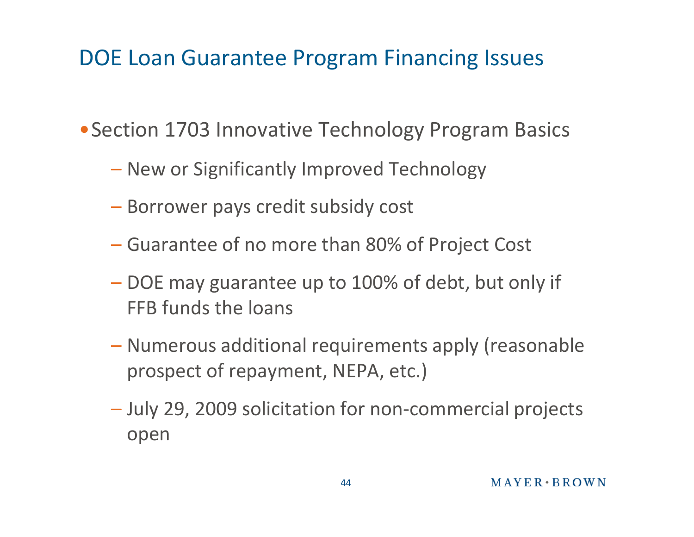• Section 1703 Innovative Technology Program Basics

- New or Significantly Improved Technology
- Borrower pays credit subsidy cost
- Guarantee of no more than 80% of Project Cost
- DOE may guarantee up to 100% of debt, but only if FFB funds the loans
- Numerous additional requirements apply (reasonable prospect of repayment, NEPA, etc.)
- July 29, 2009 solicitation for non-commercial projects open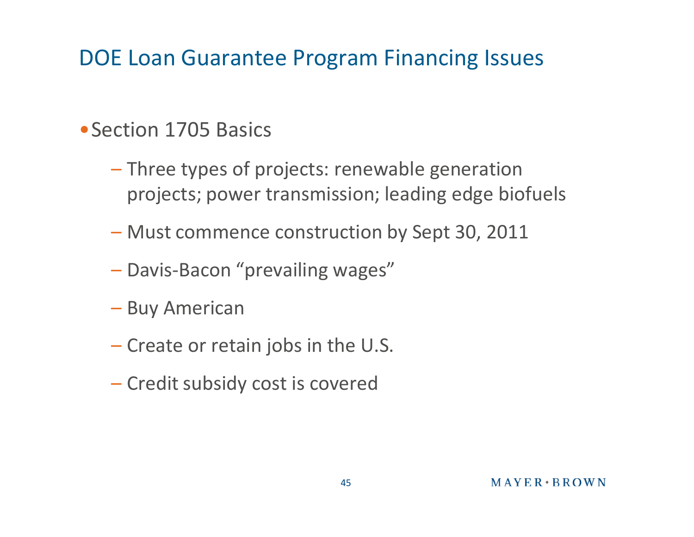#### • Section 1705 Basics

- Three types of projects: renewable generation projects; power transmission; leading edge biofuels
- Must commence construction by Sept 30, 2011
- Davis-Bacon "prevailing wages"
- Buy American
- Create or retain jobs in the U.S.
- Credit subsidy cost is covered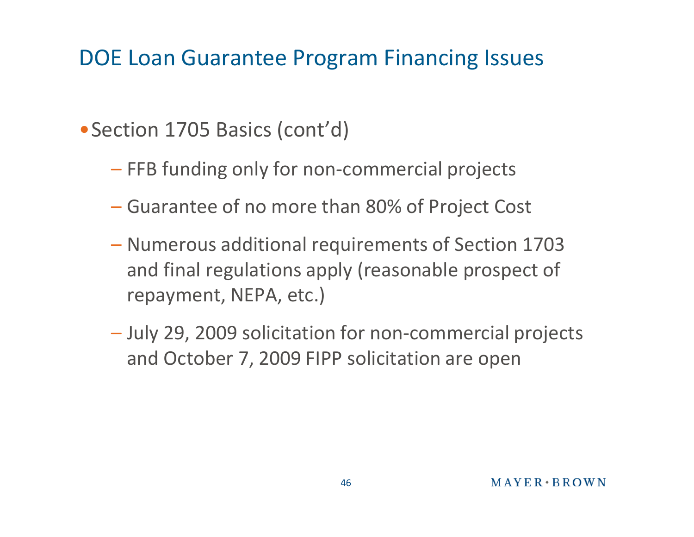#### • Section 1705 Basics (cont'd)

- FFB funding only for non-commercial projects
- Guarantee of no more than 80% of Project Cost
- Numerous additional requirements of Section 1703 and final regulations apply (reasonable prospect of repayment, NEPA, etc.)
- July 29, 2009 solicitation for non-commercial projects and October 7, 2009 FIPP solicitation are open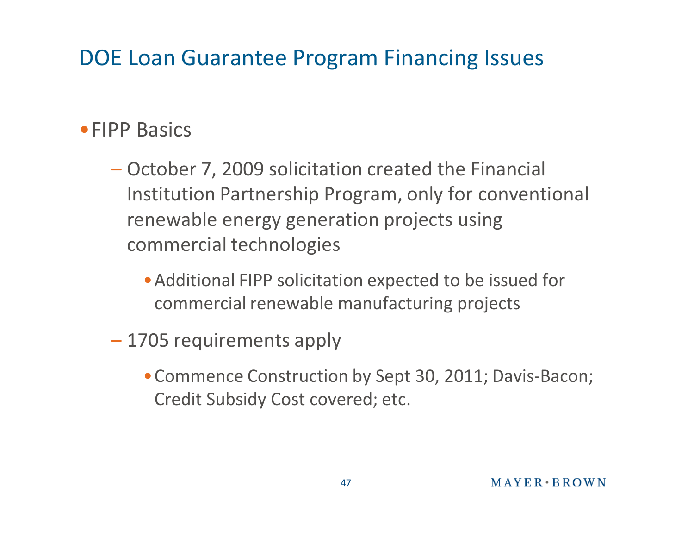#### •FIPP Basics

- October 7, 2009 solicitation created the Financial Institution Partnership Program, only for conventional renewable energy generation projects using commercial technologies
	- •Additional FIPP solicitation expected to be issued for commercial renewable manufacturing projects
- 1705 requirements apply
	- •Commence Construction by Sept 30, 2011; Davis-Bacon; Credit Subsidy Cost covered; etc.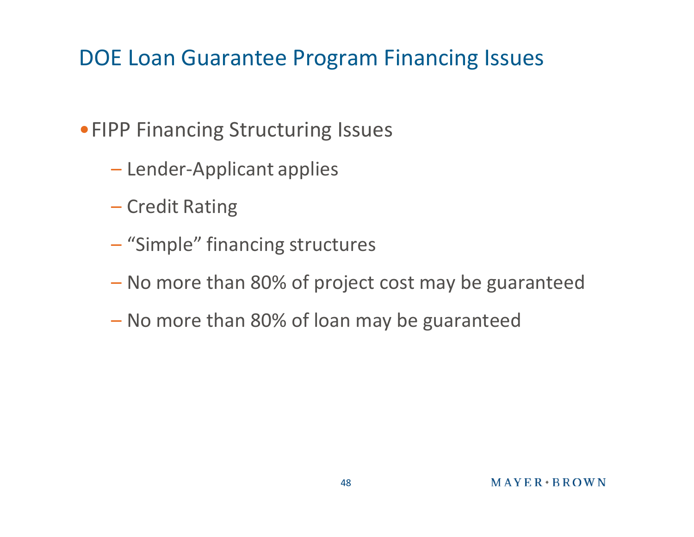#### •FIPP Financing Structuring Issues

- Lender-Applicant applies
- Credit Rating
- "Simple" financing structures
- No more than 80% of project cost may be guaranteed
- No more than 80% of loan may be guaranteed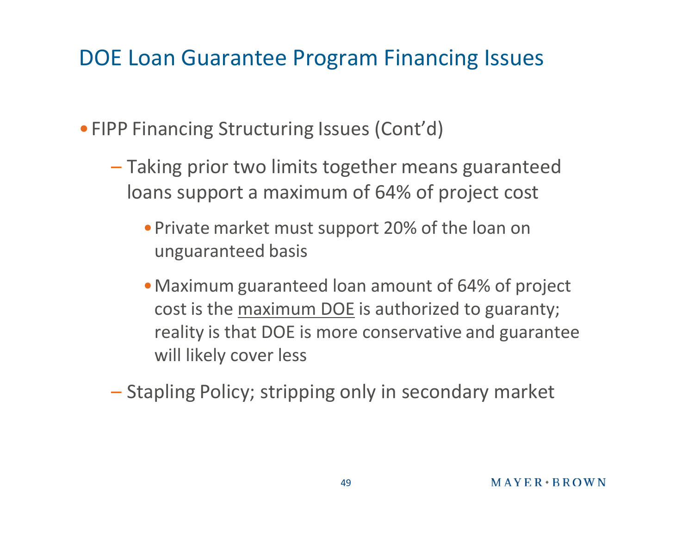• FIPP Financing Structuring Issues (Cont'd)

- Taking prior two limits together means guaranteed loans support a maximum of 64% of project cost
	- •Private market must support 20% of the loan on unguaranteed basis
	- •Maximum guaranteed loan amount of 64% of project cost is the maximum DOE is authorized to guaranty; reality is that DOE is more conservative and guarantee will likely cover less
- Stapling Policy; stripping only in secondary market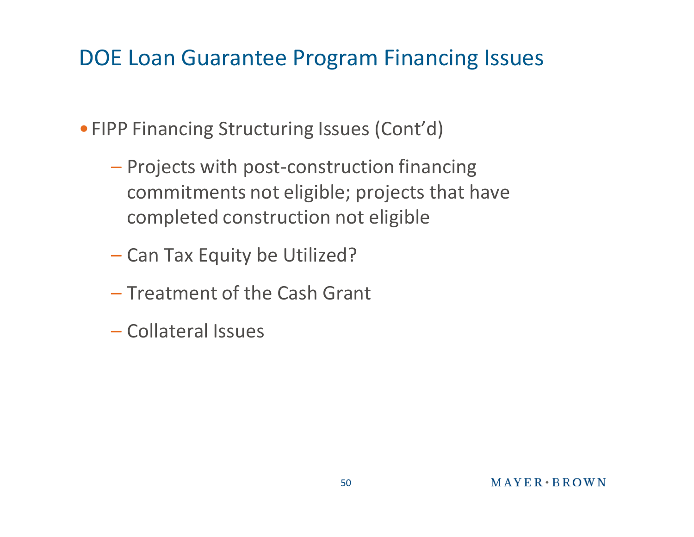•FIPP Financing Structuring Issues (Cont'd)

- Projects with post-construction financing commitments not eligible; projects that have completed construction not eligible
- Can Tax Equity be Utilized?
- Treatment of the Cash Grant
- Collateral Issues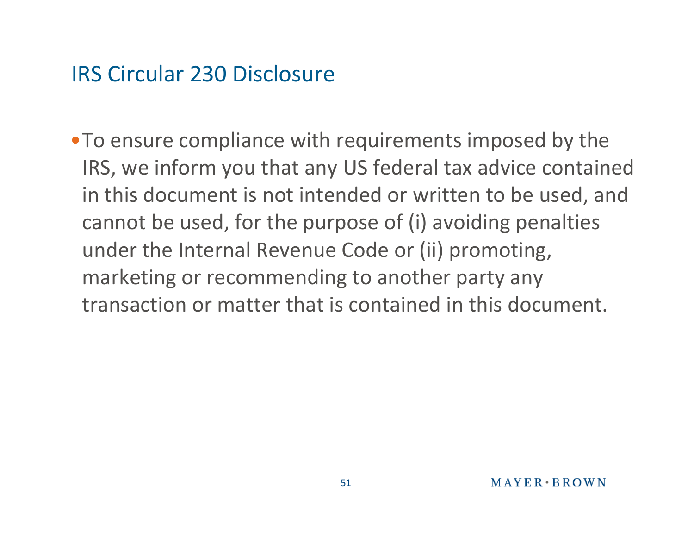#### IRS Circular 230 Disclosure

•To ensure compliance with requirements imposed by the IRS, we inform you that any US federal tax advice contained in this document is not intended or written to be used, and cannot be used, for the purpose of (i) avoiding penalties under the Internal Revenue Code or (ii) promoting, marketing or recommending to another party any transaction or matter that is contained in this document.